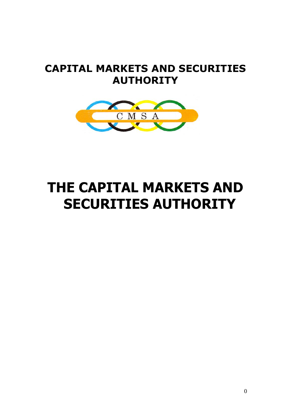# **CAPITAL MARKETS AND SECURITIES AUTHORITY**



# <span id="page-0-0"></span>**THE CAPITAL MARKETS AND SECURITIES AUTHORITY**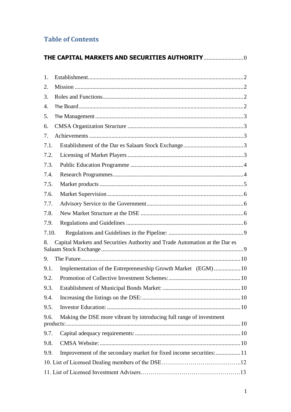# **Table of Contents**

| THE CAPITAL MARKETS AND SECURITIES AUTHORITY  0                                   |  |
|-----------------------------------------------------------------------------------|--|
| 1.                                                                                |  |
| 2.                                                                                |  |
| 3.                                                                                |  |
| 4.                                                                                |  |
| 5.                                                                                |  |
| 6.                                                                                |  |
| 7.                                                                                |  |
| 7.1.                                                                              |  |
| 7.2.                                                                              |  |
| 7.3.                                                                              |  |
| 7.4.                                                                              |  |
| 7.5.                                                                              |  |
| 7.6.                                                                              |  |
| 7.7.                                                                              |  |
| 7.8.                                                                              |  |
| 7.9.                                                                              |  |
| 7.10.                                                                             |  |
| Capital Markets and Securities Authority and Trade Automation at the Dar es<br>8. |  |
| 9.                                                                                |  |
| Implementation of the Entrepreneurship Growth Market (EGM)10<br>9.1.              |  |
| 9.2.                                                                              |  |
| 9.3.                                                                              |  |
| 9.4.                                                                              |  |
| 9.5.                                                                              |  |
| Making the DSE more vibrant by introducing full range of investment<br>9.6.       |  |
| 9.7.                                                                              |  |
| 9.8.                                                                              |  |
| Improvement of the secondary market for fixed income securities:11<br>9.9.        |  |
|                                                                                   |  |
|                                                                                   |  |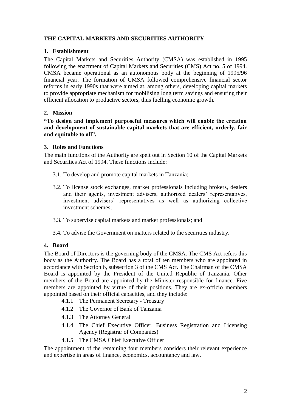#### **THE CAPITAL MARKETS AND SECURITIES AUTHORITY**

#### <span id="page-2-0"></span>**1. Establishment**

The Capital Markets and Securities Authority (CMSA) was established in 1995 following the enactment of Capital Markets and Securities (CMS) Act no. 5 of 1994. CMSA became operational as an autonomous body at the beginning of 1995/96 financial year. The formation of CMSA followed comprehensive financial sector reforms in early 1990s that were aimed at, among others, developing capital markets to provide appropriate mechanism for mobilising long term savings and ensuring their efficient allocation to productive sectors, thus fuelling economic growth.

#### <span id="page-2-1"></span>**2. Mission**

**"To design and implement purposeful measures which will enable the creation and development of sustainable capital markets that are efficient, orderly, fair and equitable to all".**

#### <span id="page-2-2"></span>**3. Roles and Functions**

The main functions of the Authority are spelt out in Section 10 of the Capital Markets and Securities Act of 1994. These functions include:

- 3.1. To develop and promote capital markets in Tanzania;
- 3.2. To license stock exchanges, market professionals including brokers, dealers and their agents, investment advisers, authorized dealers' representatives, investment advisers' representatives as well as authorizing collective investment schemes;
- 3.3. To supervise capital markets and market professionals; and
- 3.4. To advise the Government on matters related to the securities industry.

#### <span id="page-2-3"></span>**4. Board**

The Board of Directors is the governing body of the CMSA. The CMS Act refers this body as the Authority. The Board has a total of ten members who are appointed in accordance with Section 6, subsection 3 of the CMS Act. The Chairman of the CMSA Board is appointed by the President of the United Republic of Tanzania. Other members of the Board are appointed by the Minister responsible for finance. Five members are appointed by virtue of their positions. They are ex-officio members appointed based on their official capacities, and they include:

- 4.1.1 The Permanent Secretary Treasury
- 4.1.2 The Governor of Bank of Tanzania
- 4.1.3 The Attorney General
- 4.1.4 The Chief Executive Officer, Business Registration and Licensing Agency (Registrar of Companies)
- 4.1.5 The CMSA Chief Executive Officer

The appointment of the remaining four members considers their relevant experience and expertise in areas of finance, economics, accountancy and law.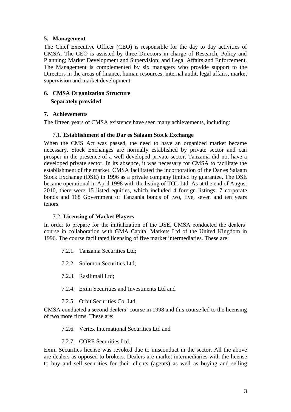#### <span id="page-3-0"></span>**5. Management**

The Chief Executive Officer (CEO) is responsible for the day to day activities of CMSA. The CEO is assisted by three Directors in charge of Research, Policy and Planning; Market Development and Supervision; and Legal Affairs and Enforcement. The Management is complemented by six managers who provide support to the Directors in the areas of finance, human resources, internal audit, legal affairs, market supervision and market development.

# <span id="page-3-1"></span>**6. CMSA Organization Structure Separately provided**

#### <span id="page-3-2"></span>**7. Achievements**

<span id="page-3-3"></span>The fifteen years of CMSA existence have seen many achievements, including:

#### 7.1. **Establishment of the Dar es Salaam Stock Exchange**

When the CMS Act was passed, the need to have an organized market became necessary. Stock Exchanges are normally established by private sector and can prosper in the presence of a well developed private sector. Tanzania did not have a developed private sector. In its absence, it was necessary for CMSA to facilitate the establishment of the market. CMSA facilitated the incorporation of the Dar es Salaam Stock Exchange (DSE) in 1996 as a private company limited by guarantee. The DSE became operational in April 1998 with the listing of TOL Ltd. As at the end of August 2010, there were 15 listed equities, which included 4 foreign listings; 7 corporate bonds and 168 Government of Tanzania bonds of two, five, seven and ten years tenors.

#### <span id="page-3-4"></span>7.2. **Licensing of Market Players**

In order to prepare for the initialization of the DSE, CMSA conducted the dealers' course in collaboration with GMA Capital Markets Ltd of the United Kingdom in 1996. The course facilitated licensing of five market intermediaries. These are:

- 7.2.1. Tanzania Securities Ltd;
- 7.2.2. Solomon Securities Ltd;
- 7.2.3. Rasilimali Ltd;
- 7.2.4. Exim Securities and Investments Ltd and

#### 7.2.5. Orbit Securities Co. Ltd.

CMSA conducted a second dealers' course in 1998 and this course led to the licensing of two more firms. These are:

#### 7.2.6. Vertex International Securities Ltd and

#### 7.2.7. CORE Securities Ltd.

Exim Securities license was revoked due to misconduct in the sector. All the above are dealers as opposed to brokers. Dealers are market intermediaries with the license to buy and sell securities for their clients (agents) as well as buying and selling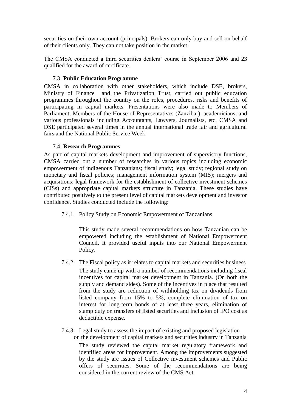securities on their own account (principals). Brokers can only buy and sell on behalf of their clients only. They can not take position in the market.

The CMSA conducted a third securities dealers' course in September 2006 and 23 qualified for the award of certificate.

#### <span id="page-4-0"></span>7.3. **Public Education Programme**

CMSA in collaboration with other stakeholders, which include DSE, brokers, Ministry of Finance and the Privatization Trust, carried out public education programmes throughout the country on the roles, procedures, risks and benefits of participating in capital markets. Presentations were also made to Members of Parliament, Members of the House of Representatives (Zanzibar), academicians, and various professionals including Accountants, Lawyers, Journalists, etc. CMSA and DSE participated several times in the annual international trade fair and agricultural fairs and the National Public Service Week.

#### <span id="page-4-1"></span>7.4. **Research Programmes**

As part of capital markets development and improvement of supervisory functions, CMSA carried out a number of researches in various topics including economic empowerment of indigenous Tanzanians; fiscal study; legal study; regional study on monetary and fiscal policies; management information system (MIS); mergers and acquisitions; legal framework for the establishment of collective investment schemes (CISs) and appropriate capital markets structure in Tanzania. These studies have contributed positively to the present level of capital markets development and investor confidence. Studies conducted include the following:

7.4.1. Policy Study on Economic Empowerment of Tanzanians

This study made several recommendations on how Tanzanian can be empowered including the establishment of National Empowerment Council. It provided useful inputs into our National Empowerment Policy.

7.4.2. The Fiscal policy as it relates to capital markets and securities business

The study came up with a number of recommendations including fiscal incentives for capital market development in Tanzania. (On both the supply and demand sides). Some of the incentives in place that resulted from the study are reduction of withholding tax on dividends from listed company from 15% to 5%, complete elimination of tax on interest for long-term bonds of at least three years, elimination of stamp duty on transfers of listed securities and inclusion of IPO cost as deductible expense.

7.4.3. Legal study to assess the impact of existing and proposed legislation on the development of capital markets and securities industry in Tanzania

The study reviewed the capital market regulatory framework and identified areas for improvement. Among the improvements suggested by the study are issues of Collective investment schemes and Public offers of securities. Some of the recommendations are being considered in the current review of the CMS Act.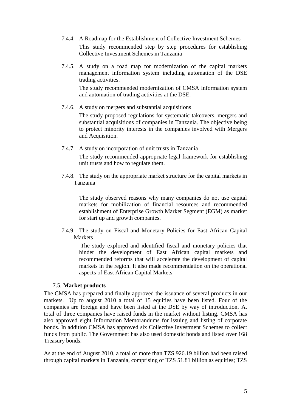- 7.4.4. A Roadmap for the Establishment of Collective Investment Schemes This study recommended step by step procedures for establishing Collective Investment Schemes in Tanzania
- 7.4.5. A study on a road map for modernization of the capital markets management information system including automation of the DSE trading activities.

The study recommended modernization of CMSA information system and automation of trading activities at the DSE.

7.4.6. A study on mergers and substantial acquisitions

The study proposed regulations for systematic takeovers, mergers and substantial acquisitions of companies in Tanzania. The objective being to protect minority interests in the companies involved with Mergers and Acquisition.

- 7.4.7. A study on incorporation of unit trusts in Tanzania The study recommended appropriate legal framework for establishing unit trusts and how to regulate them.
- 7.4.8. The study on the appropriate market structure for the capital markets in Tanzania

The study observed reasons why many companies do not use capital markets for mobilization of financial resources and recommended establishment of Enterprise Growth Market Segment (EGM) as market for start up and growth companies.

7.4.9. The study on Fiscal and Monetary Policies for East African Capital Markets

The study explored and identified fiscal and monetary policies that hinder the development of East African capital markets and recommended reforms that will accelerate the development of capital markets in the region. It also made recommendation on the operational aspects of East African Capital Markets

#### <span id="page-5-0"></span>7.5. **Market products**

The CMSA has prepared and finally approved the issuance of several products in our markets. Up to august 2010 a total of 15 equities have been listed. Four of the companies are foreign and have been listed at the DSE by way of introduction. A. total of three companies have raised funds in the market without listing. CMSA has also approved eight Information Memorandums for issuing and listing of corporate bonds. In addition CMSA has approved six Collective Investment Schemes to collect funds from public. The Government has also used domestic bonds and listed over 168 Treasury bonds.

As at the end of August 2010, a total of more than TZS 926.19 billion had been raised through capital markets in Tanzania, comprising of TZS 51.81 billion as equities; TZS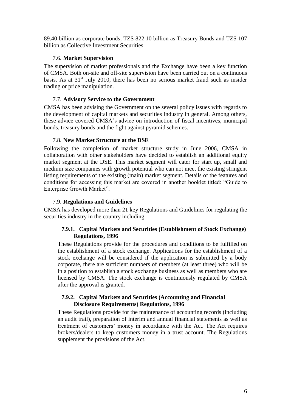89.40 billion as corporate bonds, TZS 822.10 billion as Treasury Bonds and TZS 107 billion as Collective Investment Securities

#### <span id="page-6-0"></span>7.6. **Market Supervision**

The supervision of market professionals and the Exchange have been a key function of CMSA. Both on-site and off-site supervision have been carried out on a continuous basis. As at  $31<sup>st</sup>$  July 2010, there has been no serious market fraud such as insider trading or price manipulation.

#### <span id="page-6-1"></span>7.7. **Advisory Service to the Government**

CMSA has been advising the Government on the several policy issues with regards to the development of capital markets and securities industry in general. Among others, these advice covered CMSA's advice on introduction of fiscal incentives, municipal bonds, treasury bonds and the fight against pyramid schemes.

#### <span id="page-6-2"></span>7.8. **New Market Structure at the DSE**

Following the completion of market structure study in June 2006, CMSA in collaboration with other stakeholders have decided to establish an additional equity market segment at the DSE. This market segment will cater for start up, small and medium size companies with growth potential who can not meet the existing stringent listing requirements of the existing (main) market segment. Details of the features and conditions for accessing this market are covered in another booklet titled: "Guide to Enterprise Growth Market".

#### <span id="page-6-3"></span>7.9. **Regulations and Guidelines**

CMSA has developed more than 21 key Regulations and Guidelines for regulating the securities industry in the country including:

#### **7.9.1. Capital Markets and Securities (Establishment of Stock Exchange) Regulations, 1996**

These Regulations provide for the procedures and conditions to be fulfilled on the establishment of a stock exchange. Applications for the establishment of a stock exchange will be considered if the application is submitted by a body corporate, there are sufficient numbers of members (at least three) who will be in a position to establish a stock exchange business as well as members who are licensed by CMSA. The stock exchange is continuously regulated by CMSA after the approval is granted.

#### **7.9.2. Capital Markets and Securities (Accounting and Financial Disclosure Requirements) Regulations, 1996**

These Regulations provide for the maintenance of accounting records (including an audit trail), preparation of interim and annual financial statements as well as treatment of customers' money in accordance with the Act. The Act requires brokers/dealers to keep customers money in a trust account. The Regulations supplement the provisions of the Act.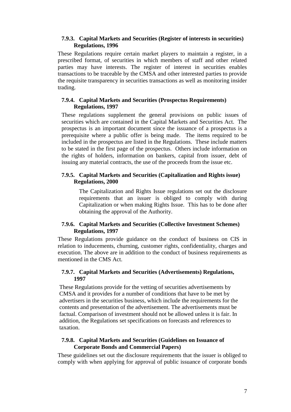#### **7.9.3. Capital Markets and Securities (Register of interests in securities) Regulations, 1996**

These Regulations require certain market players to maintain a register, in a prescribed format, of securities in which members of staff and other related parties may have interests. The register of interest in securities enables transactions to be traceable by the CMSA and other interested parties to provide the requisite transparency in securities transactions as well as monitoring insider trading.

#### **7.9.4. Capital Markets and Securities (Prospectus Requirements) Regulations, 1997**

These regulations supplement the general provisions on public issues of securities which are contained in the Capital Markets and Securities Act. The prospectus is an important document since the issuance of a prospectus is a prerequisite where a public offer is being made. The items required to be included in the prospectus are listed in the Regulations. These include matters to be stated in the first page of the prospectus. Others include information on the rights of holders, information on bankers, capital from issuer, debt of issuing any material contracts, the use of the proceeds from the issue etc.

#### **7.9.5. Capital Markets and Securities (Capitalization and Rights issue) Regulations, 2000**

The Capitalization and Rights Issue regulations set out the disclosure requirements that an issuer is obliged to comply with during Capitalization or when making Rights Issue. This has to be done after obtaining the approval of the Authority.

#### **7.9.6. Capital Markets and Securities (Collective Investment Schemes) Regulations, 1997**

These Regulations provide guidance on the conduct of business on CIS in relation to inducements, churning, customer rights, confidentiality, charges and execution. The above are in addition to the conduct of business requirements as mentioned in the CMS Act.

#### **7.9.7. Capital Markets and Securities (Advertisements) Regulations, 1997**

These Regulations provide for the vetting of securities advertisements by CMSA and it provides for a number of conditions that have to be met by advertisers in the securities business, which include the requirements for the contents and presentation of the advertisement. The advertisements must be factual. Comparison of investment should not be allowed unless it is fair. In addition, the Regulations set specifications on forecasts and references to taxation.

#### **7.9.8. Capital Markets and Securities (Guidelines on Issuance of Corporate Bonds and Commercial Papers)**

These guidelines set out the disclosure requirements that the issuer is obliged to comply with when applying for approval of public issuance of corporate bonds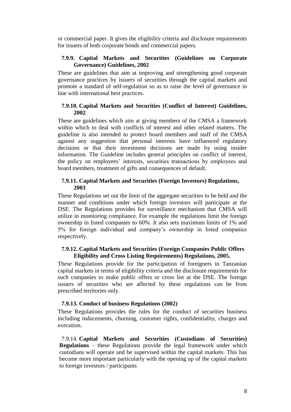or commercial paper. It gives the eligibility criteria and disclosure requirements for issuers of both corporate bonds and commercial papers.

#### **7.9.9. Capital Markets and Securities (Guidelines on Corporate Governance) Guidelines, 2002**

These are guidelines that aim at improving and strengthening good corporate governance practices by issuers of securities through the capital markets and promote a standard of self-regulation so as to raise the level of governance in line with international best practices.

#### **7.9.10. Capital Markets and Securities (Conflict of Interest) Guidelines, 2002**

These are guidelines which aim at giving members of the CMSA a framework within which to deal with conflicts of interest and other related matters. The guideline is also intended to protect board members and staff of the CMSA against any suggestion that personal interests have influenced regulatory decisions or that their investment decisions are made by using insider information. The Guideline includes general principles on conflict of interest, the policy on employees' interests, securities transactions by employees and board members, treatment of gifts and consequences of default.

#### **7.9.11. Capital Markets and Securities (Foreign Investors) Regulations, 2003**

These Regulations set out the limit of the aggregate securities to be held and the manner and conditions under which foreign investors will participate at the DSE. The Regulations provides for surveillance mechanism that CMSA will utilize in monitoring compliance. For example the regulations limit the foreign ownership in listed companies to 60%. It also sets maximum limits of 1% and 5% for foreign individual and company's ownership in listed companies respectively.

#### **7.9.12. Capital Markets and Securities (Foreign Companies Public Offers Eligibility and Cross Listing Requirements) Regulations, 2005.**

These Regulations provide for the participation of foreigners in Tanzanian capital markets in terms of eligibility criteria and the disclosure requirements for such companies to make public offers or cross list at the DSE. The foreign issuers of securities who are affected by these regulations can be from prescribed territories only.

#### **7.9.13. Conduct of business Regulations (2002)**

These Regulations provides the rules for the conduct of securities business including inducements, churning, customer rights, confidentiality, charges and execution.

7.9.14. **Capital Markets and Securities (Custodians of Securities) Regulations** – these Regulations provide the legal framework under which custodians will operate and be supervised within the capital markets. This has become more important particularly with the opening up of the capital markets to foreign investors / participants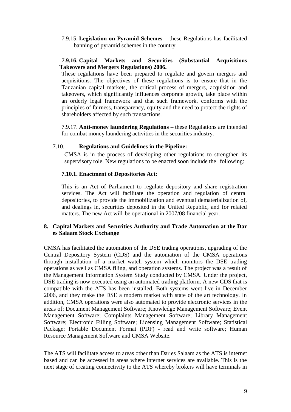7.9.15. **Legislation on Pyramid Schemes –** these Regulations has facilitated banning of pyramid schemes in the country.

#### **7.9.16. Capital Markets and Securities (Substantial Acquisitions Takeovers and Mergers Regulations) 2006.**

These regulations have been prepared to regulate and govern mergers and acquisitions. The objectives of these regulations is to ensure that in the Tanzanian capital markets, the critical process of mergers, acquisition and takeovers, which significantly influences corporate growth, take place within an orderly legal framework and that such framework, conforms with the principles of fairness, transparency, equity and the need to protect the rights of shareholders affected by such transactions.

7.9.17. **Anti-money laundering Regulations –** these Regulations are intended for combat money laundering activities in the securities industry.

#### <span id="page-9-0"></span>7.10. **Regulations and Guidelines in the Pipeline:**

CMSA is in the process of developing other regulations to strengthen its supervisory role. New regulations to be enacted soon include the following:

#### **7.10.1. Enactment of Depositories Act:**

This is an Act of Parliament to regulate depository and share registration services. The Act will facilitate the operation and regulation of central depositories, to provide the immobilization and eventual dematerialization of, and dealings in, securities deposited in the United Republic, and for related matters. The new Act will be operational in 2007/08 financial year.

#### <span id="page-9-1"></span>**8. Capital Markets and Securities Authority and Trade Automation at the Dar es Salaam Stock Exchange**

CMSA has facilitated the automation of the DSE trading operations, upgrading of the Central Depository System (CDS) and the automation of the CMSA operations through installation of a market watch system which monitors the DSE trading operations as well as CMSA filing, and operation systems. The project was a result of the Management Information System Study conducted by CMSA. Under the project, DSE trading is now executed using an automated trading platform. A new CDS that is compatible with the ATS has been installed. Both systems went live in December 2006, and they make the DSE a modern market with state of the art technology. In addition, CMSA operations were also automated to provide electronic services in the areas of: Document Management Software; Knowledge Management Software; Event Management Software; Complaints Management Software; Library Management Software; Electronic Filling Software; Licensing Management Software; Statistical Package; Portable Document Format (PDF) - read and write software; Human Resource Management Software and CMSA Website.

The ATS will facilitate access to areas other than Dar es Salaam as the ATS is internet based and can be accessed in areas where internet services are available. This is the next stage of creating connectivity to the ATS whereby brokers will have terminals in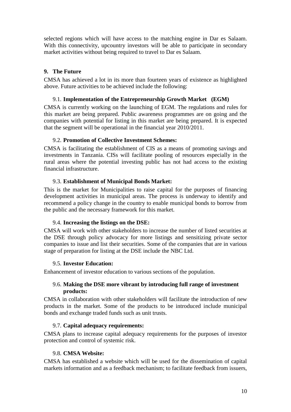selected regions which will have access to the matching engine in Dar es Salaam. With this connectivity, upcountry investors will be able to participate in secondary market activities without being required to travel to Dar es Salaam.

#### <span id="page-10-0"></span>**9. The Future**

CMSA has achieved a lot in its more than fourteen years of existence as highlighted above. Future activities to be achieved include the following:

#### <span id="page-10-1"></span>9.1. **Implementation of the Entrepreneurship Growth Market (EGM)**

CMSA is currently working on the launching of EGM. The regulations and rules for this market are being prepared. Public awareness programmes are on going and the companies with potential for listing in this market are being prepared. It is expected that the segment will be operational in the financial year 2010/2011.

#### <span id="page-10-2"></span>9.2. **Promotion of Collective Investment Schemes:**

CMSA is facilitating the establishment of CIS as a means of promoting savings and investments in Tanzania. CISs will facilitate pooling of resources especially in the rural areas where the potential investing public has not had access to the existing financial infrastructure.

#### <span id="page-10-3"></span>9.3. **Establishment of Municipal Bonds Market:**

This is the market for Municipalities to raise capital for the purposes of financing development activities in municipal areas. The process is underway to identify and recommend a policy change in the country to enable municipal bonds to borrow from the public and the necessary framework for this market.

#### <span id="page-10-4"></span>9.4. **Increasing the listings on the DSE:**

CMSA will work with other stakeholders to increase the number of listed securities at the DSE through policy advocacy for more listings and sensitizing private sector companies to issue and list their securities. Some of the companies that are in various stage of preparation for listing at the DSE include the NBC Ltd.

#### <span id="page-10-5"></span>9.5. **Investor Education:**

<span id="page-10-6"></span>Enhancement of investor education to various sections of the population.

#### 9.6. **Making the DSE more vibrant by introducing full range of investment products:**

CMSA in collaboration with other stakeholders will facilitate the introduction of new products in the market. Some of the products to be introduced include municipal bonds and exchange traded funds such as unit trusts.

#### <span id="page-10-7"></span>9.7. **Capital adequacy requirements:**

CMSA plans to increase capital adequacy requirements for the purposes of investor protection and control of systemic risk.

#### <span id="page-10-8"></span>9.8. **CMSA Website:**

CMSA has established a website which will be used for the dissemination of capital markets information and as a feedback mechanism; to facilitate feedback from issuers,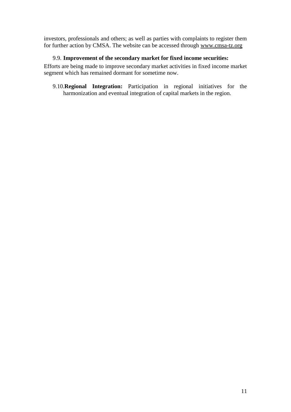investors, professionals and others; as well as parties with complaints to register them for further action by CMSA. The website can be accessed through www.cmsa-tz.org

#### <span id="page-11-0"></span>9.9. **Improvement of the secondary market for fixed income securities:**

Efforts are being made to improve secondary market activities in fixed income market segment which has remained dormant for sometime now.

9.10.**Regional Integration:** Participation in regional initiatives for the harmonization and eventual integration of capital markets in the region.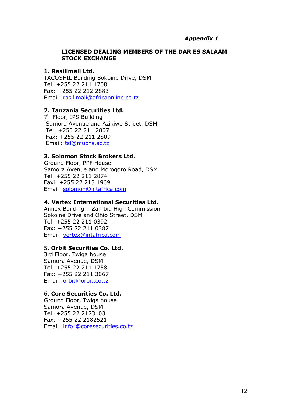#### *Appendix 1*

#### **LICENSED DEALING MEMBERS OF THE DAR ES SALAAM STOCK EXCHANGE**

#### **1. Rasilimali Ltd.**

TACOSHIL Building Sokoine Drive, DSM Tel: +255 22 211 1708 Fax: +255 22 212 2883 Email: [rasilimali@africaonline.co.tz](mailto:rasilimali@africaonline.co.tz)

#### **2. Tanzania Securities Ltd.**

7<sup>th</sup> Floor, IPS Building Samora Avenue and Azikiwe Street, DSM Tel: +255 22 211 2807 Fax: +255 22 211 2809 Email: [tsl@muchs.ac.tz](mailto:tsl@muchs.ac.tz)

#### **3. Solomon Stock Brokers Ltd.**

Ground Floor, PPF House Samora Avenue and Morogoro Road, DSM Tel: +255 22 211 2874 Faxi: +255 22 213 1969 Email: [solomon@intafrica.com](mailto:solomon@intafrica.com)

#### **4. Vertex International Securities Ltd.**

Annex Building – Zambia High Commission Sokoine Drive and Ohio Street, DSM Tel: +255 22 211 0392 Fax: +255 22 211 0387 Email: [vertex@intafrica.com](mailto:vertex@intafrica.com)

#### 5. **Orbit Securities Co. Ltd.**

3rd Floor, Twiga house Samora Avenue, DSM Tel: +255 22 211 1758 Fax: +255 22 211 3067 Email: [orbit@orbit.co.tz](mailto:orbit@orbit.co.tz)

#### 6. **Core Securities Co. Ltd.**

Ground Floor, Twiga house Samora Avenue, DSM Tel: +255 22 2123103 Fax: +255 22 2182521 Email: [info"@coresecurities.co.tz](http://www.info”@coresecurities.co.tz/)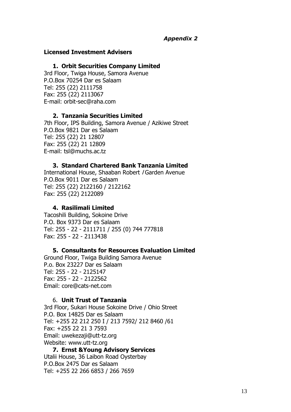## *Appendix 2*

#### **Licensed Investment Advisers**

#### **1. Orbit Securities Company Limited**

3rd Floor, Twiga House, Samora Avenue P.O.Box 70254 Dar es Salaam Tel: 255 (22) 2111758 Fax: 255 (22) 2113067 E-mail: orbit-sec@raha.com

#### **2. Tanzania Securities Limited**

7th Floor, IPS Building, Samora Avenue / Azikiwe Street P.O.Box 9821 Dar es Salaam Tel: 255 (22) 21 12807 Fax: 255 (22) 21 12809 E-mail: tsl@muchs.ac.tz

#### **3. Standard Chartered Bank Tanzania Limited**

International House, Shaaban Robert / Garden Avenue P.O.Box 9011 Dar es Salaam Tel: 255 (22) 2122160 / 2122162 Fax: 255 (22) 2122089

#### **4. Rasilimali Limited**

Tacoshili Building, Sokoine Drive P.O. Box 9373 Dar es Salaam Tel: 255 - 22 - 2111711 / 255 (0) 744 777818 Fax: 255 - 22 - 2113438

#### **5. Consultants for Resources Evaluation Limited**

Ground Floor, Twiga Building Samora Avenue P.o. Box 23227 Dar es Salaam Tel: 255 - 22 - 2125147 Fax: 255 - 22 - 2122562 Email: core@cats-net.com

#### 6. **Unit Trust of Tanzania**

3rd Floor, Sukari House Sokoine Drive / Ohio Street P.O. Box 14825 Dar es Salaam Tel: +255 22 212 250 I / 213 7592/ 212 8460 /61 Fax: +255 22 21 3 7593 Email: uwekezaji@utt-tz.org Website: www.utt-tz.org

**7. Ernst &Young Advisory Services** Utalii House, 36 Laibon Road Oysterbay P.O.Box 2475 Dar es Salaam Tel: +255 22 266 6853 / 266 7659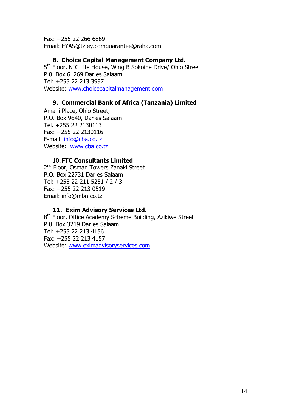Fax: +255 22 266 6869 Email: EYAS@tz.ey.comguarantee@raha.com

#### **8. Choice Capital Management Company Ltd.**

5<sup>th</sup> Floor, NIC Life House, Wing B Sokoine Drive/ Ohio Street P.0. Box 61269 Dar es Salaam Tel: +255 22 213 3997 Website: [www.choicecapitalmanagement.com](http://www.choicecapitalmanagement.com/)

# **9. Commercial Bank of Africa (Tanzania) Limited**

Amani Place, Ohio Street, P.O. Box 9640, Dar es Salaam Tel. +255 22 2130113 Fax: +255 22 2130116 E-mail: [info@cba.co.tz](mailto:info@cba.co.tz) Website: [www.cba.co.tz](http://www.cba.co.tz/)

# 10.**FTC Consultants Limited**

2<sup>nd</sup> Floor, Osman Towers Zanaki Street P.O. Box 22731 Dar es Salaam Tel: +255 22 211 5251 / 2 / 3 Fax: +255 22 213 0519 Email: info@mbn.co.tz

## **11. Exim Advisory Services Ltd.**

8<sup>th</sup> Floor, Office Academy Scheme Building, Azikiwe Street P.0. Box 3219 Dar es Salaam Tel: +255 22 213 4156 Fax: +255 22 213 4157 Website: [www.eximadvisoryservices.com](http://www.eximadvisoryservices.com/)